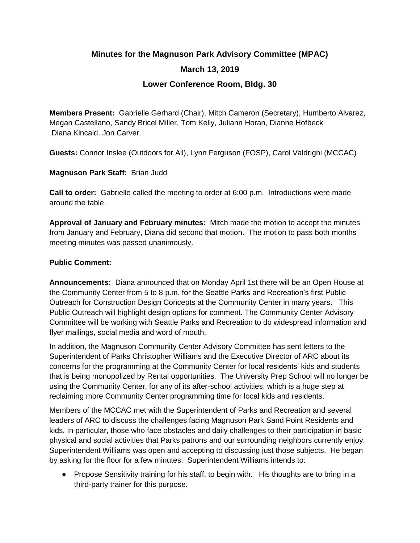## **Minutes for the Magnuson Park Advisory Committee (MPAC)**

# **March 13, 2019**

## **Lower Conference Room, Bldg. 30**

**Members Present:** Gabrielle Gerhard (Chair), Mitch Cameron (Secretary), Humberto Alvarez, Megan Castellano, Sandy Bricel Miller, Tom Kelly, Juliann Horan, Dianne Hofbeck Diana Kincaid, Jon Carver.

**Guests:** Connor Inslee (Outdoors for All), Lynn Ferguson (FOSP), Carol Valdrighi (MCCAC)

### **Magnuson Park Staff:** Brian Judd

**Call to order:** Gabrielle called the meeting to order at 6:00 p.m. Introductions were made around the table.

**Approval of January and February minutes:** Mitch made the motion to accept the minutes from January and February, Diana did second that motion. The motion to pass both months meeting minutes was passed unanimously.

### **Public Comment:**

**Announcements:** Diana announced that on Monday April 1st there will be an Open House at the Community Center from 5 to 8 p.m. for the Seattle Parks and Recreation's first Public Outreach for Construction Design Concepts at the Community Center in many years. This Public Outreach will highlight design options for comment. The Community Center Advisory Committee will be working with Seattle Parks and Recreation to do widespread information and flyer mailings, social media and word of mouth.

In addition, the Magnuson Community Center Advisory Committee has sent letters to the Superintendent of Parks Christopher Williams and the Executive Director of ARC about its concerns for the programming at the Community Center for local residents' kids and students that is being monopolized by Rental opportunities. The University Prep School will no longer be using the Community Center, for any of its after-school activities, which is a huge step at reclaiming more Community Center programming time for local kids and residents.

Members of the MCCAC met with the Superintendent of Parks and Recreation and several leaders of ARC to discuss the challenges facing Magnuson Park Sand Point Residents and kids. In particular, those who face obstacles and daily challenges to their participation in basic physical and social activities that Parks patrons and our surrounding neighbors currently enjoy. Superintendent Williams was open and accepting to discussing just those subjects. He began by asking for the floor for a few minutes. Superintendent Williams intends to:

● Propose Sensitivity training for his staff, to begin with. His thoughts are to bring in a third-party trainer for this purpose.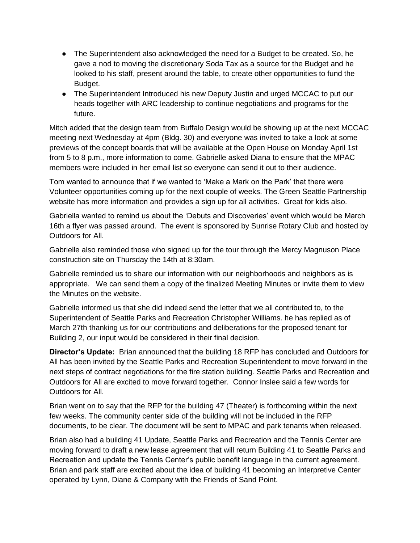- The Superintendent also acknowledged the need for a Budget to be created. So, he gave a nod to moving the discretionary Soda Tax as a source for the Budget and he looked to his staff, present around the table, to create other opportunities to fund the Budget.
- The Superintendent Introduced his new Deputy Justin and urged MCCAC to put our heads together with ARC leadership to continue negotiations and programs for the future.

Mitch added that the design team from Buffalo Design would be showing up at the next MCCAC meeting next Wednesday at 4pm (Bldg. 30) and everyone was invited to take a look at some previews of the concept boards that will be available at the Open House on Monday April 1st from 5 to 8 p.m., more information to come. Gabrielle asked Diana to ensure that the MPAC members were included in her email list so everyone can send it out to their audience.

Tom wanted to announce that if we wanted to 'Make a Mark on the Park' that there were Volunteer opportunities coming up for the next couple of weeks. The Green Seattle Partnership website has more information and provides a sign up for all activities. Great for kids also.

Gabriella wanted to remind us about the 'Debuts and Discoveries' event which would be March 16th a flyer was passed around. The event is sponsored by Sunrise Rotary Club and hosted by Outdoors for All.

Gabrielle also reminded those who signed up for the tour through the Mercy Magnuson Place construction site on Thursday the 14th at 8:30am.

Gabrielle reminded us to share our information with our neighborhoods and neighbors as is appropriate. We can send them a copy of the finalized Meeting Minutes or invite them to view the Minutes on the website.

Gabrielle informed us that she did indeed send the letter that we all contributed to, to the Superintendent of Seattle Parks and Recreation Christopher Williams. he has replied as of March 27th thanking us for our contributions and deliberations for the proposed tenant for Building 2, our input would be considered in their final decision.

**Director's Update:** Brian announced that the building 18 RFP has concluded and Outdoors for All has been invited by the Seattle Parks and Recreation Superintendent to move forward in the next steps of contract negotiations for the fire station building. Seattle Parks and Recreation and Outdoors for All are excited to move forward together. Connor Inslee said a few words for Outdoors for All.

Brian went on to say that the RFP for the building 47 (Theater) is forthcoming within the next few weeks. The community center side of the building will not be included in the RFP documents, to be clear. The document will be sent to MPAC and park tenants when released.

Brian also had a building 41 Update, Seattle Parks and Recreation and the Tennis Center are moving forward to draft a new lease agreement that will return Building 41 to Seattle Parks and Recreation and update the Tennis Center's public benefit language in the current agreement. Brian and park staff are excited about the idea of building 41 becoming an Interpretive Center operated by Lynn, Diane & Company with the Friends of Sand Point.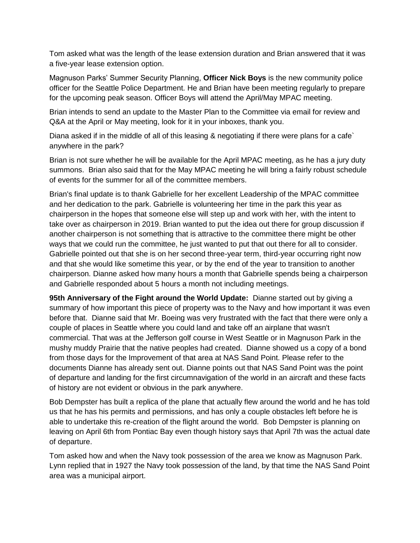Tom asked what was the length of the lease extension duration and Brian answered that it was a five-year lease extension option.

Magnuson Parks' Summer Security Planning, **Officer Nick Boys** is the new community police officer for the Seattle Police Department. He and Brian have been meeting regularly to prepare for the upcoming peak season. Officer Boys will attend the April/May MPAC meeting.

Brian intends to send an update to the Master Plan to the Committee via email for review and Q&A at the April or May meeting, look for it in your inboxes, thank you.

Diana asked if in the middle of all of this leasing & negotiating if there were plans for a cafe` anywhere in the park?

Brian is not sure whether he will be available for the April MPAC meeting, as he has a jury duty summons. Brian also said that for the May MPAC meeting he will bring a fairly robust schedule of events for the summer for all of the committee members.

Brian's final update is to thank Gabrielle for her excellent Leadership of the MPAC committee and her dedication to the park. Gabrielle is volunteering her time in the park this year as chairperson in the hopes that someone else will step up and work with her, with the intent to take over as chairperson in 2019. Brian wanted to put the idea out there for group discussion if another chairperson is not something that is attractive to the committee there might be other ways that we could run the committee, he just wanted to put that out there for all to consider. Gabrielle pointed out that she is on her second three-year term, third-year occurring right now and that she would like sometime this year, or by the end of the year to transition to another chairperson. Dianne asked how many hours a month that Gabrielle spends being a chairperson and Gabrielle responded about 5 hours a month not including meetings.

**95th Anniversary of the Fight around the World Update:** Dianne started out by giving a summary of how important this piece of property was to the Navy and how important it was even before that. Dianne said that Mr. Boeing was very frustrated with the fact that there were only a couple of places in Seattle where you could land and take off an airplane that wasn't commercial. That was at the Jefferson golf course in West Seattle or in Magnuson Park in the mushy muddy Prairie that the native peoples had created. Dianne showed us a copy of a bond from those days for the Improvement of that area at NAS Sand Point. Please refer to the documents Dianne has already sent out. Dianne points out that NAS Sand Point was the point of departure and landing for the first circumnavigation of the world in an aircraft and these facts of history are not evident or obvious in the park anywhere.

Bob Dempster has built a replica of the plane that actually flew around the world and he has told us that he has his permits and permissions, and has only a couple obstacles left before he is able to undertake this re-creation of the flight around the world. Bob Dempster is planning on leaving on April 6th from Pontiac Bay even though history says that April 7th was the actual date of departure.

Tom asked how and when the Navy took possession of the area we know as Magnuson Park. Lynn replied that in 1927 the Navy took possession of the land, by that time the NAS Sand Point area was a municipal airport.